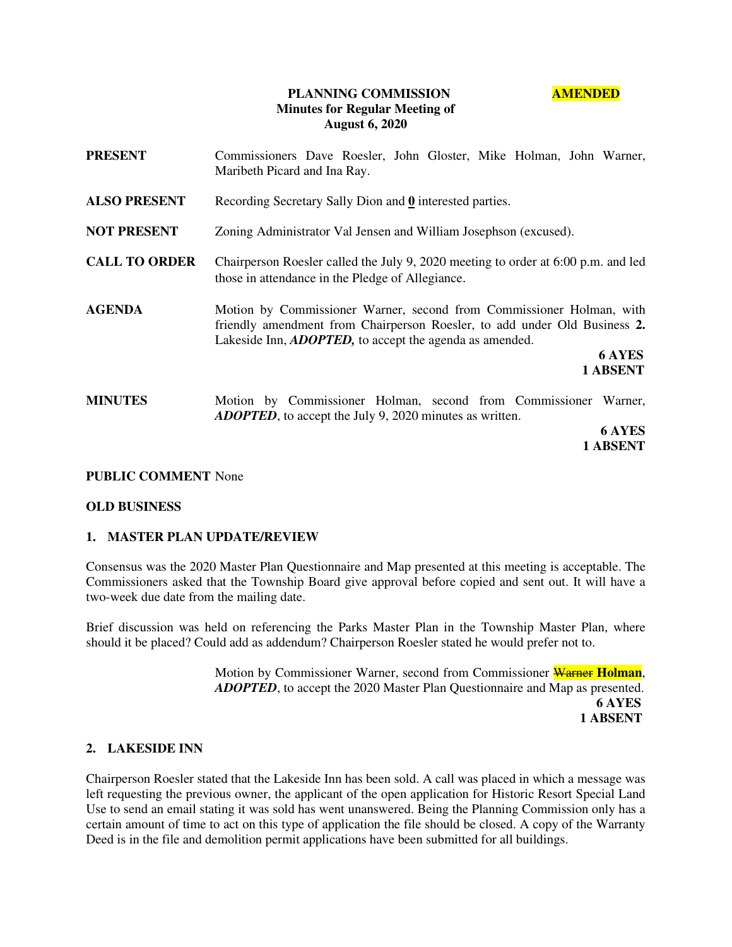## **PLANNING COMMISSION AMENDED Minutes for Regular Meeting of August 6, 2020**

**PRESENT** Commissioners Dave Roesler, John Gloster, Mike Holman, John Warner, Maribeth Picard and Ina Ray. **ALSO PRESENT** Recording Secretary Sally Dion and **0** interested parties. **NOT PRESENT** Zoning Administrator Val Jensen and William Josephson (excused). **CALL TO ORDER** Chairperson Roesler called the July 9, 2020 meeting to order at 6:00 p.m. and led those in attendance in the Pledge of Allegiance. **AGENDA** Motion by Commissioner Warner, second from Commissioner Holman, with friendly amendment from Chairperson Roesler, to add under Old Business **2.** Lakeside Inn, *ADOPTED,* to accept the agenda as amended. **6 AYES 1 ABSENT MINUTES** Motion by Commissioner Holman, second from Commissioner Warner, *ADOPTED*, to accept the July 9, 2020 minutes as written.  **6 AYES 1 ABSENT** 

### **PUBLIC COMMENT** None

### **OLD BUSINESS**

### **1. MASTER PLAN UPDATE/REVIEW**

Consensus was the 2020 Master Plan Questionnaire and Map presented at this meeting is acceptable. The Commissioners asked that the Township Board give approval before copied and sent out. It will have a two-week due date from the mailing date.

Brief discussion was held on referencing the Parks Master Plan in the Township Master Plan, where should it be placed? Could add as addendum? Chairperson Roesler stated he would prefer not to.

> Motion by Commissioner Warner, second from Commissioner Warner **Holman**, *ADOPTED*, to accept the 2020 Master Plan Questionnaire and Map as presented.  **6 AYES 1 ABSENT**

### **2. LAKESIDE INN**

Chairperson Roesler stated that the Lakeside Inn has been sold. A call was placed in which a message was left requesting the previous owner, the applicant of the open application for Historic Resort Special Land Use to send an email stating it was sold has went unanswered. Being the Planning Commission only has a certain amount of time to act on this type of application the file should be closed. A copy of the Warranty Deed is in the file and demolition permit applications have been submitted for all buildings.